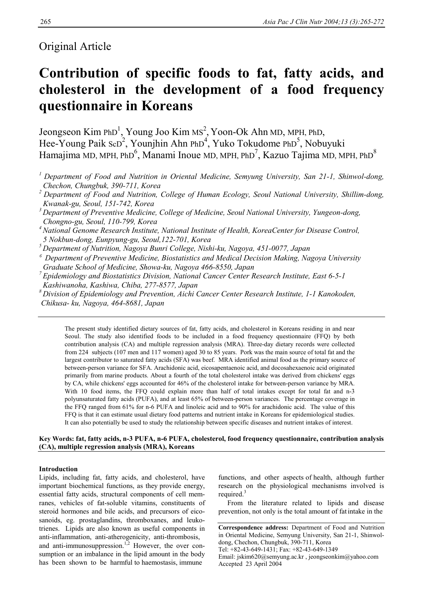# Original Article

# **Contribution of specific foods to fat, fatty acids, and cholesterol in the development of a food frequency questionnaire in Koreans**

Jeongseon Kim PhD<sup>1</sup>, Young Joo Kim MS<sup>2</sup>, Yoon-Ok Ahn MD, MPH, PhD, Hee-Young Paik ScD<sup>2</sup>, Younjhin Ahn PhD<sup>4</sup>, Yuko Tokudome PhD<sup>5</sup>, Nobuyuki Hamajima MD, MPH, PhD<sup>6</sup>, Manami Inoue MD, MPH, PhD<sup>7</sup>, Kazuo Tajima MD, MPH, PhD $^8$ 

*1 Department of Food and Nutrition in Oriental Medicine, Semyung University, San 21-1, Shinwol-dong, Chechon, Chungbuk, 390-711, Korea* 

*2 Department of Food and Nutrition, College of Human Ecology, Seoul National University, Shillim-dong, Kwanak-gu, Seoul, 151-742, Korea* 

*4 National Genome Research Institute, National Institute of Health, KoreaCenter for Disease Control, 5 Nokbun-dong, Eunpyung-gu, Seoul,122-701, Korea* 

*5 Department of Nutrition, Nagoya Bunri College, Nishi-ku, Nagoya, 451-0077, Japan* 

*<sup>6</sup>Department of Preventive Medicine, Biostatistics and Medical Decision Making, Nagoya University Graduate School of Medicine, Showa-ku, Nagoya 466-8550, Japan* 

- *7 Epidemiology and Biostatistics Division, National Cancer Center Research Institute, East 6-5-1 Kashiwanoha, Kashiwa, Chiba, 277-8577, Japan*
- *8 Division of Epidemiology and Prevention, Aichi Cancer Center Research Institute, 1-1 Kanokoden, Chikusa- ku, Nagoya, 464-8681, Japan*

The present study identified dietary sources of fat, fatty acids, and cholesterol in Koreans residing in and near Seoul. The study also identified foods to be included in a food frequency questionnaire (FFQ) by both contribution analysis (CA) and multiple regression analysis (MRA). Three-day dietary records were collected from 224 subjects (107 men and 117 women) aged 30 to 85 years. Pork was the main source of total fat and the largest contributor to saturated fatty acids (SFA) was beef. MRA identified animal food as the primary source of between-person variance for SFA. Arachidonic acid, eicosapentaenoic acid, and docosahexaenoic acid originated primarily from marine products. About a fourth of the total cholesterol intake was derived from chickens' eggs by CA, while chickens' eggs accounted for 46% of the cholesterol intake for between-person variance by MRA. With 10 food items, the FFQ could explain more than half of total intakes except for total fat and n-3 polyunsaturated fatty acids (PUFA), and at least 65% of between-person variances. The percentage coverage in the FFQ ranged from 61% for n-6 PUFA and linoleic acid and to 90% for arachidonic acid. The value of this FFQ is that it can estimate usual dietary food patterns and nutrient intake in Koreans for epidemiological studies. It can also potentially be used to study the relationship between specific diseases and nutrient intakes of interest.

## **Key Words: fat, fatty acids, n-3 PUFA, n-6 PUFA, cholesterol, food frequency questionnaire, contribution analysis (CA), multiple regression analysis (MRA), Koreans**

# **Introduction**

Lipids, including fat, fatty acids, and cholesterol, have important biochemical functions, as they provide energy, essential fatty acids, structural components of cell memranes, vehicles of fat-soluble vitamins, constituents of steroid hormones and bile acids, and precursors of eicosanoids, eg. prostaglandins, thromboxanes, and leukotrienes. Lipids are also known as useful components in anti-inflammation, anti-atherogenicity, anti-thrombosis, and anti-immunosuppression.<sup>1,2</sup> However, the over consumption or an imbalance in the lipid amount in the body has been shown to be harmful to haemostasis, immune

functions, and other aspects of health, although further research on the physiological mechanisms involved is required.<sup>3</sup>

 From the literature related to lipids and disease prevention, not only is the total amount of fat intake in the

*<sup>3</sup> Department of Preventive Medicine, College of Medicine, Seoul National University, Yungeon-dong, Chongno-gu, Seoul, 110-799, Korea* 

**Correspondence address:** Department of Food and Nutrition in Oriental Medicine, Semyung University, San 21-1, Shinwoldong, Chechon, Chungbuk, 390-711, Korea

Tel: +82-43-649-1431; Fax: +82-43-649-1349

Email: jskim620@semyung.ac.kr , jeongseonkim@yahoo.com Accepted 23 April 2004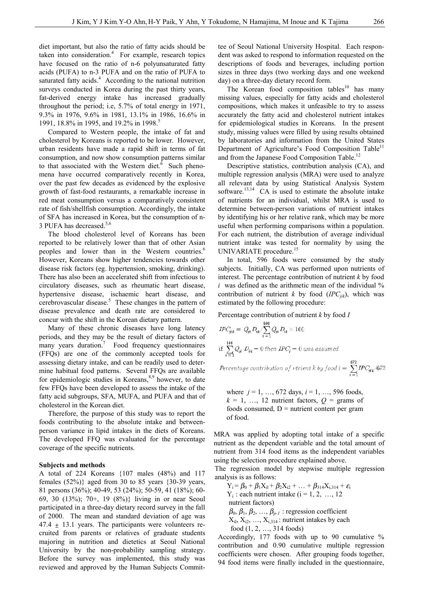diet important, but also the ratio of fatty acids should be taken into consideration. $4$  For example, research topics have focused on the ratio of n-6 polyunsaturated fatty acids (PUFA) to n-3 PUFA and on the ratio of PUFA to saturated fatty acids.<sup>4</sup> According to the national nutrition surveys conducted in Korea during the past thirty years, fat-derived energy intake has increased gradually throughout the period; i.e, 5.7% of total energy in 1971, 9.3% in 1976, 9.6% in 1981, 13.1% in 1986, 16.6% in 1991, 18.8% in 1995, and 19.2% in 1998.<sup>5</sup>

 Compared to Western people, the intake of fat and cholesterol by Koreans is reported to be lower. However, urban residents have made a rapid shift in terms of fat consumption, and now show consumption patterns similar to that associated with the Western diet. $6$  Such phenomena have occurred comparatively recently in Korea, over the past few decades as evidenced by the explosive growth of fast-food restaurants, a remarkable increase in red meat consumption versus a comparatively consistent rate of fish/shellfish consumption. Accordingly, the intake of SFA has increased in Korea, but the consumption of n-3 PUFA has decreased.<sup>5,6</sup>

 The blood cholesterol level of Koreans has been reported to be relatively lower than that of other Asian peoples and lower than in the Western countries.<sup>6</sup> However, Koreans show higher tendencies towards other disease risk factors (eg. hypertension, smoking, drinking). There has also been an accelerated shift from infectious to circulatory diseases, such as rheumatic heart disease, hypertensive disease, ischaemic heart disease, and cerebrovascular disease.<sup>5</sup> These changes in the pattern of disease prevalence and death rate are considered to concur with the shift in the Korean dietary pattern.

 Many of these chronic diseases have long latency periods, and they may be the result of dietary factors of many years duration.<sup>7</sup> Food frequency questionnaires (FFQs) are one of the commonly accepted tools for assessing dietary intake, and can be readily used to determine habitual food patterns. Several FFQs are available for epidemiologic studies in Koreans, $8,9$  however, to date few FFQs have been developed to assess the intake of the fatty acid subgroups, SFA, MUFA, and PUFA and that of cholesterol in the Korean diet.

 Therefore, the purpose of this study was to report the foods contributing to the absolute intake and betweenperson variance in lipid intakes in the diets of Koreans. The developed FFQ was evaluated for the percentage coverage of the specific nutrients.

### **Subjects and methods**

A total of 224 Koreans {107 males (48%) and 117 females  $(52\%)$  aged from 30 to 85 years  $\{30-39$  years, 81 persons (36%); 40-49, 53 (24%); 50-59, 41 (18%); 60- 69, 30 (13%); 70+, 19 (8%)} living in or near Seoul participated in a three-day dietary record survey in the fall of 2000. The mean and standard deviation of age was  $47.4 \pm 13.1$  years. The participants were volunteers recruited from parents or relatives of graduate students majoring in nutrition and dietetics at Seoul National University by the non-probability sampling strategy. Before the survey was implemented, this study was reviewed and approved by the Human Subjects Committee of Seoul National University Hospital. Each respondent was asked to respond to information requested on the descriptions of foods and beverages, including portion sizes in three days (two working days and one weekend day) on a three-day dietary record form.

The Korean food composition tables<sup>10</sup> has many missing values, especially for fatty acids and cholesterol compositions, which makes it unfeasible to try to assess accurately the fatty acid and cholesterol nutrient intakes for epidemiological studies in Koreans. In the present study, missing values were filled by using results obtained by laboratories and information from the United States Department of Agriculture's Food Composition Table<sup>11</sup> and from the Japanese Food Composition Table.<sup>12</sup>

 Descriptive statistics, contribution analysis (CA), and multiple regression analysis (MRA) were used to analyze all relevant data by using Statistical Analysis System software.<sup>13,14</sup> CA is used to estimate the absolute intake of nutrients for an individual, whilst MRA is used to determine between-person variations of nutrient intakes by identifying his or her relative rank, which may be more useful when performing comparisons within a population. For each nutrient, the distribution of average individual nutrient intake was tested for normality by using the UNIVARIATE procedure.<sup>15</sup>

 In total, 596 foods were consumed by the study subjects. Initially, CA was performed upon nutrients of interest. The percentage contribution of nutrient *k* by food  $i$  was defined as the arithmetic mean of the individual  $\%$ contribution of nutrient  $k$  by food  $(IPC_{ijk})$ , which was estimated by the following procedure:

Percentage contribution of nutrient *k* by food *I* 

$$
IPC_{jik} = Q_{ji} D_{ik} / \sum_{i=1}^{1000} Q_{ji} D_{ik} \times 100
$$
  
if 
$$
\sum_{i=1}^{500} Q_{ji} D_{ik} = 0 \text{ then } IPC_j = 0 \text{ was assumed}
$$

Percentage contribution of vtrient k by food  $i = \sum_{i=1}^{672} \text{IPC}_{jik}$ /672

where  $j = 1, ..., 672$  days,  $i = 1, ..., 596$  foods,  $k = 1, \ldots, 12$  nutrient factors,  $Q = \text{grams of}$ foods consumed,  $D =$  nutrient content per gram of food.

MRA was applied by adopting total intake of a specific nutrient as the dependent variable and the total amount of nutrient from 314 food items as the independent variables using the selection procedure explained above.

The regression model by stepwise multiple regression analysis is as follows:

 $Y_i = \beta_0 + \beta_1 X_{i1} + \beta_2 X_{i2} + \ldots + \beta_{314} X_{i,314} + \varepsilon_i$  $Y_i$ : each nutrient intake ( $i = 1, 2, ..., 12$  nutrient factors)  $\beta_0$ ,  $\beta_1$ ,  $\beta_2$ , ...,  $\beta_{p-1}$  : regression coefficient  $X_{i1}, X_{i2}, \ldots, X_{i,314}$ : nutrient intakes by each food (1, 2, …, 314 foods)

Accordingly, 177 foods with up to 90 cumulative % contribution and 0.90 cumulative multiple regression coefficients were chosen. After grouping foods together, 94 food items were finally included in the questionnaire,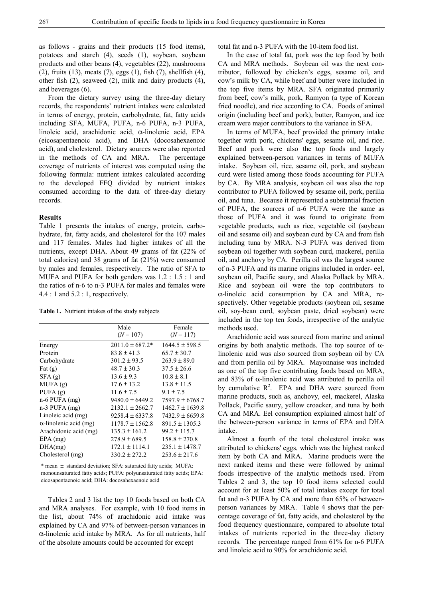as follows - grains and their products (15 food items), potatoes and starch (4), seeds (1), soybean, soybean products and other beans (4), vegetables (22), mushrooms (2), fruits (13), meats (7), eggs (1), fish (7), shellfish (4), other fish (2), seaweed (2), milk and dairy products (4), and beverages (6).

From the dietary survey using the three-day dietary records, the respondents' nutrient intakes were calculated in terms of energy, protein, carbohydrate, fat, fatty acids including SFA, MUFA, PUFA, n-6 PUFA, n-3 PUFA, linoleic acid, arachidonic acid, α-linolenic acid, EPA (eicosapentaenoic acid), and DHA (docosahexaenoic acid), and cholesterol. Dietary sources were also reported in the methods of CA and MRA. The percentage coverage of nutrients of interest was computed using the following formula: nutrient intakes calculated according to the developed FFQ divided by nutrient intakes consumed according to the data of three-day dietary records.

#### **Results**

Table 1 presents the intakes of energy, protein, carbohydrate, fat, fatty acids, and cholesterol for the 107 males and 117 females. Males had higher intakes of all the nutrients, except DHA. About 49 grams of fat (22% of total calories) and 38 grams of fat (21%) were consumed by males and females, respectively. The ratio of SFA to MUFA and PUFA for both genders was 1.2 : 1.5 : 1 and the ratios of n-6 to n-3 PUFA for males and females were 4.4 : 1 and 5.2 : 1, respectively.

**Table 1.** Nutrient intakes of the study subjects

|                               | Male                | Female              |
|-------------------------------|---------------------|---------------------|
|                               | $(N = 107)$         | $(N = 117)$         |
| Energy                        | $2011.0 \pm 687.2*$ | $1644.5 \pm 598.5$  |
| Protein                       | $83.8 \pm 41.3$     | $65.7 \pm 30.7$     |
| Carbohydrate                  | $301.2 \pm 93.5$    | $263.9 \pm 89.0$    |
| Fat $(g)$                     | $48.7 \pm 30.3$     | $37.5 \pm 26.6$     |
| SFA(g)                        | $13.6 \pm 9.3$      | $10.8 \pm 8.1$      |
| MUFA(g)                       | $17.6 \pm 13.2$     | $13.8 \pm 11.5$     |
| PUFA $(g)$                    | $11.6 \pm 7.5$      | $9.1 \pm 7.5$       |
| $n-6$ PUFA $(mg)$             | $9480.0 \pm 6449.2$ | $7597.9 \pm 6768.7$ |
| $n-3$ PUFA $(mg)$             | $2132.1 \pm 2662.7$ | $1462.7 \pm 1639.8$ |
| Linoleic acid (mg)            | $9258.4 \pm 6337.8$ | $7432.9 \pm 6659.8$ |
| $\alpha$ -linolenic acid (mg) | $1178.7 \pm 1562.8$ | $891.5 \pm 1305.3$  |
| Arachidonic acid (mg)         | $135.3 \pm 161.2$   | $99.2 \pm 115.7$    |
| $EPA$ (mg)                    | $278.9 \pm 689.5$   | $158.8 \pm 270.8$   |
| DHA(mg)                       | $172.1 \pm 1114.1$  | $235.1 \pm 1478.7$  |
| Cholesterol (mg)              | $330.2 \pm 272.2$   | $253.6 \pm 217.6$   |

 eicosapentaenoic acid; DHA: docosahexaenoic acid \* mean ± standard deviation; SFA: saturated fatty acids; MUFA: monounsaturated fatty acids; PUFA: polyunsaturated fatty acids; EPA:

 Tables 2 and 3 list the top 10 foods based on both CA and MRA analyses. For example, with 10 food items in the list, about 74% of arachidonic acid intake was explained by CA and 97% of between-person variances in α-linolenic acid intake by MRA. As for all nutrients, half of the absolute amounts could be accounted for except

total fat and n-3 PUFA with the 10-item food list.

 In the case of total fat, pork was the top food by both CA and MRA methods. Soybean oil was the next contributor, followed by chicken's eggs, sesame oil, and cow's milk by CA, while beef and butter were included in the top five items by MRA. SFA originated primarily from beef, cow's milk, pork, Ramyon (a type of Korean fried noodle), and rice according to CA. Foods of animal origin (including beef and pork), butter, Ramyon, and ice cream were major contributors to the variance in SFA.

 In terms of MUFA, beef provided the primary intake together with pork, chickens' eggs, sesame oil, and rice. Beef and pork were also the top foods and largely explained between-person variances in terms of MUFA intake. Soybean oil, rice, sesame oil, pork, and soybean curd were listed among those foods accounting for PUFA by CA. By MRA analysis, soybean oil was also the top contributor to PUFA followed by sesame oil, pork, perilla oil, and tuna. Because it represented a substantial fraction of PUFA, the sources of n-6 PUFA were the same as those of PUFA and it was found to originate from vegetable products, such as rice, vegetable oil (soybean oil and sesame oil) and soybean curd by CA and from fish including tuna by MRA. N-3 PUFA was derived from soybean oil together with soybean curd, mackerel, perilla oil, and anchovy by CA. Perilla oil was the largest source of n-3 PUFA and its marine origins included in order- eel, soybean oil, Pacific saury, and Alaska Pollack by MRA. Rice and soybean oil were the top contributors to α-linoleic acid consumption by CA and MRA, respectively. Other vegetable products (soybean oil, sesame oil, soy-bean curd, soybean paste, dried soybean) were included in the top ten foods, irrespective of the analytic methods used.

 Arachidonic acid was sourced from marine and animal origins by both analytic methods. The top source of  $\alpha$ linolenic acid was also sourced from soybean oil by CA and from perilla oil by MRA. Mayonnaise was included as one of the top five contributing foods based on MRA, and 83% of α-linolenic acid was attributed to perilla oil by cumulative  $R^2$ . EPA and DHA were sourced from marine products, such as, anchovy, eel, mackerel, Alaska Pollack, Pacific saury, yellow croacker, and tuna by both CA and MRA. Eel consumption explained almost half of the between-person variance in terms of EPA and DHA intake.

 Almost a fourth of the total cholesterol intake was attributed to chickens' eggs, which was the highest ranked item by both CA and MRA. Marine products were the next ranked items and these were followed by animal foods irrespective of the analytic methods used. From Tables 2 and 3, the top 10 food items selected could account for at least 50% of total intakes except for total fat and n-3 PUFA by CA and more than 65% of betweenperson variances by MRA. Table 4 shows that the percentage coverage of fat, fatty acids, and cholesterol by the food frequency questionnaire, compared to absolute total intakes of nutrients reported in the three-day dietary records. The percentage ranged from 61% for n-6 PUFA and linoleic acid to 90% for arachidonic acid.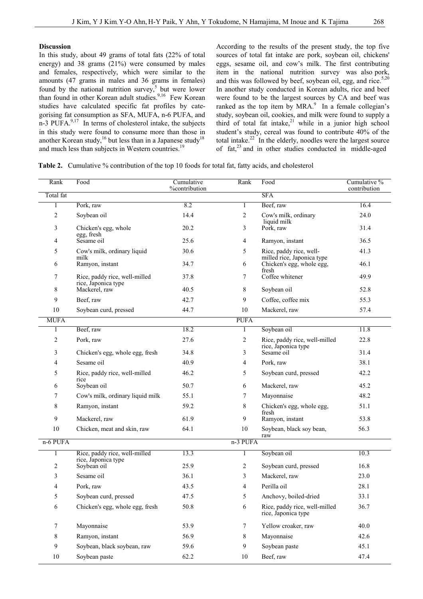#### **Discussion**

In this study, about 49 grams of total fats (22% of total energy) and 38 grams (21%) were consumed by males and females, respectively, which were similar to the amounts (47 grams in males and 36 grams in females) found by the national nutrition survey,<sup>5</sup> but were lower than found in other Korean adult studies.<sup>9,16</sup> Few Korean studies have calculated specific fat profiles by categorising fat consumption as SFA, MUFA, n-6 PUFA, and n-3 PUFA. $9,17$  In terms of cholesterol intake, the subjects in this study were found to consume more than those in another Korean study,<sup>16</sup> but less than in a Japanese study<sup>18</sup> and much less than subjects in Western countries.<sup>19</sup>

According to the results of the present study, the top five sources of total fat intake are pork, soybean oil, chickens' eggs, sesame oil, and cow's milk. The first contributing item in the national nutrition survey was also pork, and this was followed by beef, soybean oil, egg, and rice. $5,20$ In another study conducted in Korean adults, rice and beef were found to be the largest sources by CA and beef was ranked as the top item by  $MRA$ <sup>9</sup>. In a female collegian's study, soybean oil, cookies, and milk were found to supply a third of total fat intake, $2i$  while in a junior high school student's study, cereal was found to contribute 40% of the total intake. $22$  In the elderly, noodles were the largest source of fat,<sup>23</sup> and in other studies conducted in middle-aged

**Table 2.** Cumulative % contribution of the top 10 foods for total fat, fatty acids, and cholesterol

| Rank        | Food                                                 | Cumulative<br>%contribution | Rank            | Food                                                  | Cumulative %<br>contribution |
|-------------|------------------------------------------------------|-----------------------------|-----------------|-------------------------------------------------------|------------------------------|
| Total fat   |                                                      |                             |                 | <b>SFA</b>                                            |                              |
| 1           | Pork, raw                                            | 8.2                         | 1               | Beef, raw                                             | 16.4                         |
| 2           | Soybean oil                                          | 14.4                        | 2               | Cow's milk, ordinary<br>liquid milk                   | 24.0                         |
| 3           | Chicken's egg, whole<br>egg, fresh                   | 20.2                        | 3               | Pork, raw                                             | 31.4                         |
| 4           | Sesame oil                                           | 25.6                        | 4               | Ramyon, instant                                       | 36.5                         |
| 5           | Cow's milk, ordinary liquid<br>milk                  | 30.6                        | 5               | Rice, paddy rice, well-<br>milled rice, Japonica type | 41.3                         |
| 6           | Ramyon, instant                                      | 34.7                        | 6               | Chicken's egg, whole egg,<br>fresh                    | 46.1                         |
| 7           | Rice, paddy rice, well-milled<br>rice, Japonica type | 37.8                        | 7               | Coffee whitener                                       | 49.9                         |
| 8           | Mackerel, raw                                        | 40.5                        | 8               | Soybean oil                                           | 52.8                         |
| 9           | Beef, raw                                            | 42.7                        | 9               | Coffee, coffee mix                                    | 55.3                         |
| $10\,$      | Soybean curd, pressed                                | 44.7                        | 10              | Mackerel, raw                                         | 57.4                         |
| <b>MUFA</b> |                                                      |                             | <b>PUFA</b>     |                                                       |                              |
|             | Beef, raw                                            | 18.2                        | 1               | Soybean oil                                           | 11.8                         |
| 2           | Pork, raw                                            | 27.6                        | 2               | Rice, paddy rice, well-milled<br>rice, Japonica type  | 22.8                         |
| 3           | Chicken's egg, whole egg, fresh                      | 34.8                        | 3               | Sesame oil                                            | 31.4                         |
| 4           | Sesame oil                                           | 40.9                        | 4               | Pork, raw                                             | 38.1                         |
| 5           | Rice, paddy rice, well-milled<br>rice                | 46.2                        | 5               | Soybean curd, pressed                                 | 42.2                         |
| 6           | Soybean oil                                          | 50.7                        | 6               | Mackerel, raw                                         | 45.2                         |
| 7           | Cow's milk, ordinary liquid milk                     | 55.1                        | 7               | Mayonnaise                                            | 48.2                         |
| 8           | Ramyon, instant                                      | 59.2                        | 8               | Chicken's egg, whole egg,<br>fresh                    | 51.1                         |
| 9           | Mackerel, raw                                        | 61.9                        | 9               | Ramyon, instant                                       | 53.8                         |
| 10          | Chicken, meat and skin, raw                          | 64.1                        | 10              | Soybean, black soy bean,<br>raw                       | 56.3                         |
| n-6 PUFA    |                                                      |                             | n-3 PUFA        |                                                       |                              |
|             | Rice, paddy rice, well-milled<br>rice, Japonica type | 13.3                        | 1               | Soybean oil                                           | 10.3                         |
| 2           | Soybean oil                                          | 25.9                        | 2               | Soybean curd, pressed                                 | 16.8                         |
| 3           | Sesame oil                                           | 36.1                        | 3               | Mackerel, raw                                         | 23.0                         |
| 4           | Pork, raw                                            | 43.5                        | 4               | Perilla oil                                           | 28.1                         |
| 5           | Soybean curd, pressed                                | 47.5                        | 5               | Anchovy, boiled-dried                                 | 33.1                         |
| 6           | Chicken's egg, whole egg, fresh                      | 50.8                        | 6               | Rice, paddy rice, well-milled<br>rice, Japonica type  | 36.7                         |
| 7           | Mayonnaise                                           | 53.9                        | $7\phantom{.0}$ | Yellow croaker, raw                                   | 40.0                         |
| 8           | Ramyon, instant                                      | 56.9                        | 8               | Mayonnaise                                            | 42.6                         |
| 9           | Soybean, black soybean, raw                          | 59.6                        | 9               | Soybean paste                                         | 45.1                         |
| 10          | Soybean paste                                        | 62.2                        | 10              | Beef, raw                                             | 47.4                         |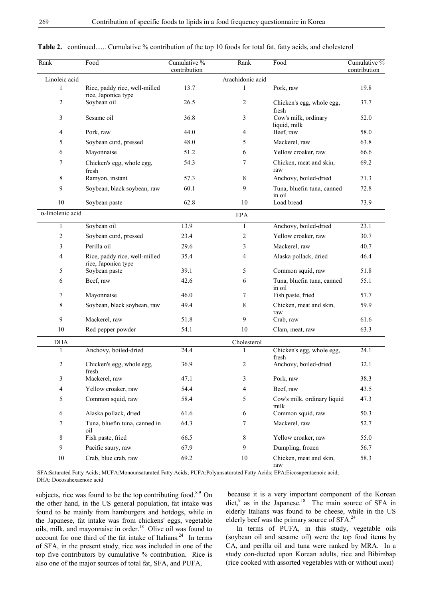| Rank                     | Food                                                 | Cumulative %<br>contribution | Rank             | Food                                 | Cumulative %<br>contribution |
|--------------------------|------------------------------------------------------|------------------------------|------------------|--------------------------------------|------------------------------|
| Linoleic acid            |                                                      |                              | Arachidonic acid |                                      |                              |
| 1                        | Rice, paddy rice, well-milled<br>rice, Japonica type | 13.7                         |                  | Pork, raw                            | 19.8                         |
| $\overline{c}$           | Soybean oil                                          | 26.5                         | 2                | Chicken's egg, whole egg,<br>fresh   | 37.7                         |
| 3                        | Sesame oil                                           | 36.8                         | 3                | Cow's milk, ordinary<br>liquid, milk | 52.0                         |
| 4                        | Pork, raw                                            | 44.0                         | 4                | Beef, raw                            | 58.0                         |
| 5                        | Soybean curd, pressed                                | 48.0                         | 5                | Mackerel, raw                        | 63.8                         |
| 6                        | Mayonnaise                                           | 51.2                         | 6                | Yellow croaker, raw                  | 66.6                         |
| 7                        | Chicken's egg, whole egg,<br>fresh                   | 54.3                         | 7                | Chicken, meat and skin,<br>raw       | 69.2                         |
| 8                        | Ramyon, instant                                      | 57.3                         | 8                | Anchovy, boiled-dried                | 71.3                         |
| 9                        | Soybean, black soybean, raw                          | 60.1                         | 9                | Tuna, bluefin tuna, canned<br>in oil | 72.8                         |
| 10                       | Soybean paste                                        | 62.8                         | 10               | Load bread                           | 73.9                         |
| $\alpha$ -linolenic acid |                                                      |                              | <b>EPA</b>       |                                      |                              |
| $\mathbf{1}$             | Soybean oil                                          | 13.9                         | 1                | Anchovy, boiled-dried                | 23.1                         |
| $\overline{c}$           | Soybean curd, pressed                                | 23.4                         | 2                | Yellow croaker, raw                  | 30.7                         |
| 3                        | Perilla oil                                          | 29.6                         | 3                | Mackerel, raw                        | 40.7                         |
| 4                        | Rice, paddy rice, well-milled<br>rice, Japonica type | 35.4                         | 4                | Alaska pollack, dried                | 46.4                         |
| 5                        | Soybean paste                                        | 39.1                         | 5                | Common squid, raw                    | 51.8                         |
| 6                        | Beef, raw                                            | 42.6                         | 6                | Tuna, bluefin tuna, canned<br>in oil | 55.1                         |
| 7                        | Mayonnaise                                           | 46.0                         | 7                | Fish paste, fried                    | 57.7                         |
| 8                        | Soybean, black soybean, raw                          | 49.4                         | 8                | Chicken, meat and skin,<br>raw       | 59.9                         |
| 9                        | Mackerel, raw                                        | 51.8                         | 9                | Crab, raw                            | 61.6                         |
| 10                       | Red pepper powder                                    | 54.1                         | 10               | Clam, meat, raw                      | 63.3                         |
| <b>DHA</b>               |                                                      |                              | Cholesterol      |                                      |                              |
| 1                        | Anchovy, boiled-dried                                | 24.4                         | 1                | Chicken's egg, whole egg,            | 24.1                         |
| $\overline{c}$           | Chicken's egg, whole egg,<br>fresh                   | 36.9                         | 2                | fresh<br>Anchovy, boiled-dried       | 32.1                         |
| $\mathfrak{Z}$           | Mackerel, raw                                        | 47.1                         | 3                | Pork, raw                            | 38.3                         |
| 4                        | Yellow croaker, raw                                  | 54.4                         | 4                | Beef, raw                            | 43.5                         |
| 5                        | Common squid, raw                                    | 58.4                         | 5                | Cow's milk, ordinary liquid<br>milk  | 47.3                         |
| 6                        | Alaska pollack, dried                                | 61.6                         | 6                | Common squid, raw                    | 50.3                         |
| 7                        | Tuna, bluefin tuna, canned in<br>oil                 | 64.3                         | 7                | Mackerel, raw                        | 52.7                         |
| 8                        | Fish paste, fried                                    | 66.5                         | 8                | Yellow croaker, raw                  | 55.0                         |
| 9                        | Pacific saury, raw                                   | 67.9                         | 9                | Dumpling, frozen                     | 56.7                         |
| 10                       | Crab, blue crab, raw                                 | 69.2                         | 10               | Chicken, meat and skin,<br>raw       | 58.3                         |

|  |  |  |  |  |  |  |  | <b>Table 2.</b> continued Cumulative % contribution of the top 10 foods for total fat, fatty acids, and cholesterol |
|--|--|--|--|--|--|--|--|---------------------------------------------------------------------------------------------------------------------|
|--|--|--|--|--|--|--|--|---------------------------------------------------------------------------------------------------------------------|

 SFA:Saturated Fatty Acids; MUFA:Monounsaturated Fatty Acids; PUFA:Polyunsaturated Fatty Acids; EPA:Eicosapentaenoic acid; DHA: Docosahexaenoic acid

subjects, rice was found to be the top contributing food.<sup>8,9</sup> On the other hand, in the US general population, fat intake was found to be mainly from hamburgers and hotdogs, while in the Japanese, fat intake was from chickens' eggs, vegetable oils, milk, and mayonnaise in order.18 Olive oil was found to account for one third of the fat intake of Italians.<sup>24</sup> In terms of SFA, in the present study, rice was included in one of the top five contributors by cumulative % contribution. Rice is also one of the major sources of total fat, SFA, and PUFA,

 because it is a very important component of the Korean diet, $9$  as in the Japanese.<sup>18</sup> The main source of SFA in elderly Italians was found to be cheese, while in the US elderly beef was the primary source of SFA.<sup>24</sup>

 In terms of PUFA, in this study, vegetable oils (soybean oil and sesame oil) were the top food items by CA, and perilla oil and tuna were ranked by MRA. In a study con-ducted upon Korean adults, rice and Bibimbap (rice cooked with assorted vegetables with or without meat)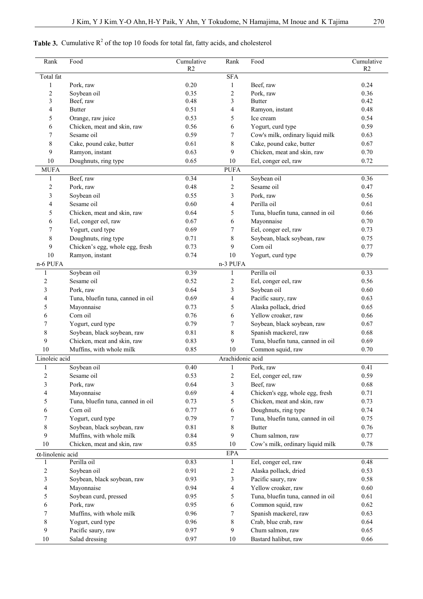# **Table 3.** Cumulative  $R^2$  of the top 10 foods for total fat, fatty acids, and cholesterol

| Rank                     | Food                              | Cumulative<br>R <sub>2</sub> | Rank                    | Food                              | Cumulative<br>R2 |
|--------------------------|-----------------------------------|------------------------------|-------------------------|-----------------------------------|------------------|
| Total fat                |                                   |                              | <b>SFA</b>              |                                   |                  |
| 1                        | Pork, raw                         | 0.20                         | 1                       | Beef, raw                         | 0.24             |
| $\overline{\mathbf{c}}$  | Soybean oil                       | 0.35                         | $\sqrt{2}$              | Pork, raw                         | 0.36             |
| 3                        | Beef, raw                         | 0.48                         | 3                       | <b>Butter</b>                     | 0.42             |
| 4                        | <b>Butter</b>                     | 0.51                         | 4                       | Ramyon, instant                   | 0.48             |
| 5                        | Orange, raw juice                 | 0.53                         | 5                       | Ice cream                         | 0.54             |
| 6                        | Chicken, meat and skin, raw       | 0.56                         | 6                       | Yogurt, curd type                 | 0.59             |
| 7                        | Sesame oil                        | 0.59                         | 7                       | Cow's milk, ordinary liquid milk  | 0.63             |
| 8                        | Cake, pound cake, butter          | 0.61                         | 8                       | Cake, pound cake, butter          | 0.67             |
| 9                        | Ramyon, instant                   | 0.63                         | 9                       | Chicken, meat and skin, raw       | 0.70             |
| 10                       | Doughnuts, ring type              | 0.65                         | $10\,$                  | Eel, conger eel, raw              | 0.72             |
| <b>MUFA</b>              |                                   |                              | <b>PUFA</b>             |                                   |                  |
| 1                        | Beef, raw                         | 0.34                         | 1                       | Soybean oil                       | 0.36             |
| 2                        | Pork, raw                         | 0.48                         | $\overline{c}$          | Sesame oil                        | 0.47             |
| 3                        | Soybean oil                       | 0.55                         | 3                       | Pork, raw                         | 0.56             |
| 4                        | Sesame oil                        | 0.60                         | 4                       | Perilla oil                       | 0.61             |
| 5                        | Chicken, meat and skin, raw       | 0.64                         | 5                       | Tuna, bluefin tuna, canned in oil | 0.66             |
| 6                        | Eel, conger eel, raw              | 0.67                         | 6                       | Mayonnaise                        | 0.70             |
| 7                        | Yogurt, curd type                 | 0.69                         | 7                       | Eel, conger eel, raw              | 0.73             |
| 8                        | Doughnuts, ring type              | 0.71                         | 8                       | Soybean, black soybean, raw       | 0.75             |
| 9                        | Chicken's egg, whole egg, fresh   | 0.73                         | 9                       | Corn oil                          | 0.77             |
| 10                       | Ramyon, instant                   | 0.74                         | 10                      | Yogurt, curd type                 | 0.79             |
| n-6 PUFA                 |                                   |                              | n-3 PUFA                |                                   |                  |
| 1                        | Soybean oil                       | 0.39                         | 1                       | Perilla oil                       | 0.33             |
| $\overline{2}$           | Sesame oil                        | 0.52                         | $\overline{2}$          | Eel, conger eel, raw              | 0.56             |
| 3                        | Pork, raw                         | 0.64                         | 3                       | Soybean oil                       | 0.60             |
| 4                        | Tuna, bluefin tuna, canned in oil | 0.69                         | 4                       | Pacific saury, raw                | 0.63             |
| 5                        | Mayonnaise                        | 0.73                         | 5                       | Alaska pollack, dried             | 0.65             |
| 6                        | Corn oil                          | 0.76                         | 6                       | Yellow croaker, raw               | 0.66             |
| 7                        | Yogurt, curd type                 | 0.79                         | 7                       | Soybean, black soybean, raw       | 0.67             |
| 8                        | Soybean, black soybean, raw       | 0.81                         | 8                       | Spanish mackerel, raw             | 0.68             |
| 9                        | Chicken, meat and skin, raw       | 0.83                         | 9                       | Tuna, bluefin tuna, canned in oil | 0.69             |
| 10                       | Muffins, with whole milk          | 0.85                         | 10                      | Common squid, raw                 | 0.70             |
| Linoleic acid            |                                   |                              | Arachidonic acid        |                                   |                  |
| $\mathbf{1}$             | Soybean oil                       | 0.40                         | $\mathbf{1}$            | Pork, raw                         | 0.41             |
| $\overline{\mathbf{c}}$  | Sesame oil                        | 0.53                         | $\overline{\mathbf{c}}$ | Eel, conger eel, raw              | 0.59             |
| 3                        | Pork, raw                         | 0.64                         | 3                       | Beef, raw                         | 0.68             |
| 4                        | Mayonnaise                        | 0.69                         | 4                       | Chicken's egg, whole egg, fresh   | 0.71             |
| 5                        | Tuna, bluefin tuna, canned in oil | 0.73                         | 5                       | Chicken, meat and skin, raw       | 0.73             |
| 6                        | Corn oil                          | 0.77                         | 6                       | Doughnuts, ring type              | 0.74             |
| 7                        | Yogurt, curd type                 | 0.79                         | 7                       | Tuna, bluefin tuna, canned in oil | 0.75             |
| 8                        | Soybean, black soybean, raw       | 0.81                         | 8                       | <b>Butter</b>                     | 0.76             |
| 9                        | Muffins, with whole milk          | 0.84                         | 9                       | Chum salmon, raw                  | 0.77             |
| 10                       | Chicken, meat and skin, raw       | 0.85                         | 10                      | Cow's milk, ordinary liquid milk  | 0.78             |
| $\alpha$ -linolenic acid |                                   |                              | <b>EPA</b>              |                                   |                  |
| 1                        | Perilla oil                       | 0.83                         | 1                       | Eel, conger eel, raw              | 0.48             |
| $\sqrt{2}$               | Soybean oil                       | 0.91                         | $\overline{c}$          | Alaska pollack, dried             | 0.53             |
| 3                        | Soybean, black soybean, raw       | 0.93                         | 3                       | Pacific saury, raw                | 0.58             |
| 4                        | Mayonnaise                        | 0.94                         | $\overline{4}$          | Yellow croaker, raw               | 0.60             |
| 5                        | Soybean curd, pressed             | 0.95                         | 5                       | Tuna, bluefin tuna, canned in oil | 0.61             |
| 6                        | Pork, raw                         | 0.95                         | 6                       | Common squid, raw                 | 0.62             |
| 7                        | Muffins, with whole milk          | 0.96                         | 7                       | Spanish mackerel, raw             | 0.63             |
| 8                        | Yogurt, curd type                 | 0.96                         | 8                       | Crab, blue crab, raw              | 0.64             |
| 9                        | Pacific saury, raw                | 0.97                         | 9                       | Chum salmon, raw                  | 0.65             |
| 10                       | Salad dressing                    | 0.97                         | $10\,$                  | Bastard halibut, raw              | 0.66             |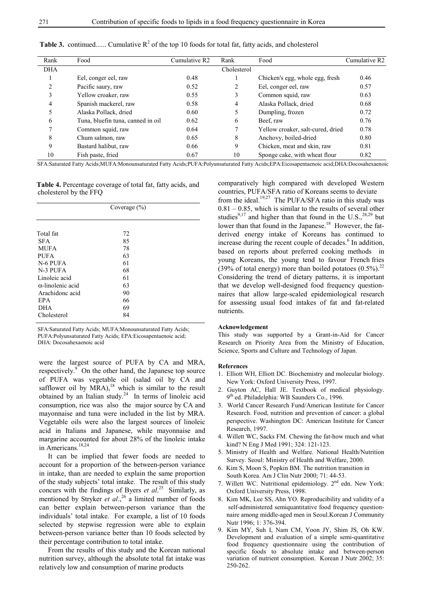| Rank         | Food                              | Cumulative R2 | Rank        | Food                              | Cumulative R2 |
|--------------|-----------------------------------|---------------|-------------|-----------------------------------|---------------|
| <b>DHA</b>   |                                   |               | Cholesterol |                                   |               |
|              | Eel, conger eel, raw              | 0.48          |             | Chicken's egg, whole egg, fresh   | 0.46          |
| 2            | Pacific saury, raw                | 0.52          | 2           | Eel, conger eel, raw              | 0.57          |
| 3            | Yellow croaker, raw               | 0.55          | 3           | Common squid, raw                 | 0.63          |
| 4            | Spanish mackerel, raw             | 0.58          | 4           | Alaska Pollack, dried             | 0.68          |
| 5            | Alaska Pollack, dried             | 0.60          | 5           | Dumpling, frozen                  | 0.72          |
| 6            | Tuna, bluefin tuna, canned in oil | 0.62          | 6           | Beef, raw                         | 0.76          |
| $\mathbf{r}$ | Common squid, raw                 | 0.64          | 7           | Yellow croaker, salt-cured, dried | 0.78          |
| 8            | Chum salmon, raw                  | 0.65          | 8           | Anchovy, boiled-dried             | 0.80          |
| 9            | Bastard halibut, raw              | 0.66          | 9           | Chicken, meat and skin, raw       | 0.81          |
| 10           | Fish paste, fried                 | 0.67          | 10          | Sponge cake, with wheat flour     | 0.82          |

**Table 3.** continued...... Cumulative  $R^2$  of the top 10 foods for total fat, fatty acids, and cholesterol

SFA:Saturated Fatty Acids;MUFA:Monounsaturated Fatty Acids;PUFA:Polyunsaturated Fatty Acids;EPA:Eicosapentaenoic acid;DHA:Docosahexaenoic

**Table 4.** Percentage coverage of total fat, fatty acids, and cholesterol by the FFQ

|                          | Coverage $(\% )$ |  |  |  |  |
|--------------------------|------------------|--|--|--|--|
|                          |                  |  |  |  |  |
| Total fat                | 72               |  |  |  |  |
| <b>SFA</b>               | 85               |  |  |  |  |
| <b>MUFA</b>              | 78               |  |  |  |  |
| PUFA                     | 63               |  |  |  |  |
| N-6 PUFA                 | 61               |  |  |  |  |
| N-3 PUFA                 | 68               |  |  |  |  |
| Linoleic acid            | 61               |  |  |  |  |
| $\alpha$ -linolenic acid | 63               |  |  |  |  |
| Arachidonc acid          | 90               |  |  |  |  |
| <b>EPA</b>               | 66               |  |  |  |  |
| <b>DHA</b>               | 69               |  |  |  |  |
| Cholesterol              | 84               |  |  |  |  |

SFA:Saturated Fatty Acids; MUFA:Monounsaturated Fatty Acids; PUFA:Polyunsaturated Fatty Acids; EPA:Eicosapentaenoic acid; DHA: Docosahexaenoic acid

were the largest source of PUFA by CA and MRA, respectively.<sup>9</sup> On the other hand, the Japanese top source of PUFA was vegetable oil (salad oil by CA and safflower oil by  $MRA$ ),<sup>18</sup> which is similar to the result obtained by an Italian study. $24$  In terms of linoleic acid consumption, rice was also the major source by CA and mayonnaise and tuna were included in the list by MRA. Vegetable oils were also the largest sources of linoleic acid in Italians and Japanese, while mayonnaise and margarine accounted for about 28% of the linoleic intake in Americans.<sup>18,24</sup>

 It can be implied that fewer foods are needed to account for a proportion of the between-person variance in intake, than are needed to explain the same proportion of the study subjects' total intake. The result of this study concurs with the findings of Byers *et al*. 25 Similarly, as mentioned by Stryker *et al.*,<sup>26</sup> a limited number of foods can better explain between-person variance than the individuals' total intake. For example, a list of 10 foods selected by stepwise regression were able to explain between-person variance better than 10 foods selected by their percentage contribution to total intake.

 From the results of this study and the Korean national nutrition survey, although the absolute total fat intake was relatively low and consumption of marine products

comparatively high compared with developed Western countries, PUFA/SFA ratio of Koreans seems to deviate from the ideal.<sup>19,27</sup> The PUFA/SFA ratio in this study was 0.81 – 0.85, which is similar to the results of several other studies<sup>9,17</sup> and higher than that found in the U.S.,<sup>28,29</sup> but lower than that found in the Japanese.<sup>18</sup> However, the fatderived energy intake of Koreans has continued to increase during the recent couple of decades.<sup>6</sup> In addition, based on reports about preferred cooking methods in young Koreans, the young tend to favour French fries (39% of total energy) more than boiled potatoes  $(0.5\%)$ .<sup>22</sup> Considering the trend of dietary patterns, it is important that we develop well-designed food frequency questionnaires that allow large-scaled epidemiological research for assessing usual food intakes of fat and fat-related nutrients.

#### **Acknowledgement**

This study was supported by a Grant-in-Aid for Cancer Research on Priority Area from the Ministry of Education, Science, Sports and Culture and Technology of Japan.

#### **References**

- 1. Elliott WH, Elliott DC. Biochemistry and molecular biology. New York: Oxford University Press, 1997.
- 2. Guyton AC, Hall JE. Textbook of medical physiology. 9<sup>th</sup> ed. Philadelphia: WB Saunders Co., 1996.
- 3. World Cancer Research Fund/American Institute for Cancer Research. Food, nutrition and prevention of cancer: a global perspective. Washington DC: American Institute for Cancer Research, 1997.
- 4. Willett WC, Sacks FM. Chewing the fat-how much and what kind? N Eng J Med 1991; 324: 121-123.
- 5. Ministry of Health and Welfare. National Health/Nutrition Survey. Seoul: Ministry of Health and Welfare, 2000.
- 6. Kim S, Moon S, Popkin BM. The nutrition transition in South Korea. Am J Clin Nutr 2000; 71: 44-53.
- 7. Willett WC. Nutritional epidemiology. 2nd edn. New York: Oxford University Press, 1998.
- 8. Kim MK, Lee SS, Ahn YO. Reproducibility and validity of a self-administered semiquantitative food frequency questionnaire among middle-aged men in Seoul.Korean J Community Nutr 1996; 1: 376-394.
- 9. Kim MY, Suh I, Nam CM, Yoon JY, Shim JS, Oh KW. Development and evaluation of a simple semi-quantitative food frequency questionnaire using the contribution of specific foods to absolute intake and between-person variation of nutrient consumption. Korean J Nutr 2002; 35: 250-262.